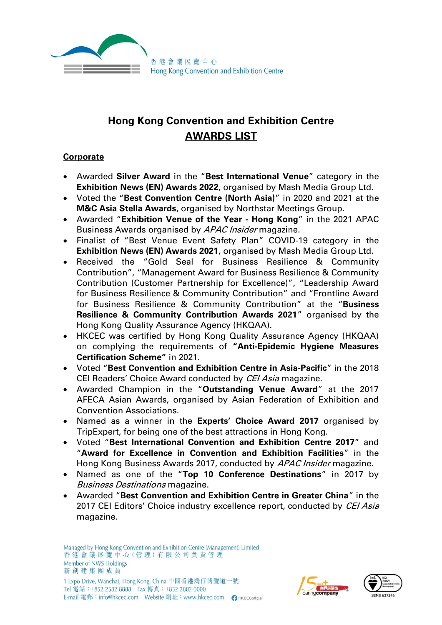

# **Hong Kong Convention and Exhibition Centre AWARDS LIST**

## **Corporate**

- Awarded **Silver Award** in the "**Best International Venue**" category in the **Exhibition News (EN) Awards 2022**, organised by Mash Media Group Ltd.
- Voted the "**Best Convention Centre (North Asia)**" in 2020 and 2021 at the **M&C Asia Stella Awards**, organised by Northstar Meetings Group.
- Awarded "**Exhibition Venue of the Year - Hong Kong**" in the 2021 APAC Business Awards organised by APAC Insider magazine.
- Finalist of "Best Venue Event Safety Plan" COVID-19 category in the **Exhibition News (EN) Awards 2021**, organised by Mash Media Group Ltd.
- Received the "Gold Seal for Business Resilience & Community Contribution", "Management Award for Business Resilience & Community Contribution (Customer Partnership for Excellence)", "Leadership Award for Business Resilience & Community Contribution" and "Frontline Award for Business Resilience & Community Contribution" at the "**Business Resilience & Community Contribution Awards 2021**" organised by the Hong Kong Quality Assurance Agency (HKQAA).
- HKCEC was certified by Hong Kong Quality Assurance Agency (HKQAA) on complying the requirements of **"Anti-Epidemic Hygiene Measures Certification Scheme"** in 2021.
- Voted "**Best Convention and Exhibition Centre in Asia-Pacific**" in the 2018 CEI Readers' Choice Award conducted by CEI Asia magazine.
- Awarded Champion in the "**Outstanding Venue Award**" at the 2017 AFECA Asian Awards, organised by Asian Federation of Exhibition and Convention Associations.
- Named as a winner in the **Experts' Choice Award 2017** organised by TripExpert, for being one of the best attractions in Hong Kong.
- Voted "**Best International Convention and Exhibition Centre 2017**" and "**Award for Excellence in Convention and Exhibition Facilities**" in the Hong Kong Business Awards 2017, conducted by APAC Insider magazine.
- Named as one of the "**Top 10 Conference Destinations**" in 2017 by Business Destinations magazine.
- Awarded "**Best Convention and Exhibition Centre in Greater China**" in the 2017 CEI Editors' Choice industry excellence report, conducted by CEI Asia magazine.

E-mail 電郵:info@hkcec.com Website 網址:www.hkcec.com ● нксесоfficial

Tel 電話: +852 2582 8888 Fax 傳真: +852 2802 0000

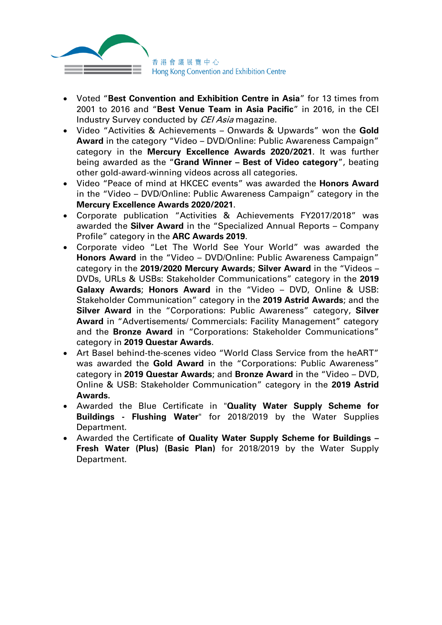

- Voted "**Best Convention and Exhibition Centre in Asia**" for 13 times from 2001 to 2016 and "**Best Venue Team in Asia Pacific**" in 2016, in the CEI Industry Survey conducted by CEI Asia magazine.
- Video "Activities & Achievements Onwards & Upwards" won the **Gold Award** in the category "Video – DVD/Online: Public Awareness Campaign" category in the **Mercury Excellence Awards 2020/2021**. It was further being awarded as the "**Grand Winner – Best of Video category**", beating other gold-award-winning videos across all categories.
- Video "Peace of mind at HKCEC events" was awarded the **Honors Award** in the "Video – DVD/Online: Public Awareness Campaign" category in the **Mercury Excellence Awards 2020/2021**.
- Corporate publication "Activities & Achievements FY2017/2018" was awarded the **Silver Award** in the "Specialized Annual Reports – Company Profile" category in the **ARC Awards 2019**.
- Corporate video "Let The World See Your World" was awarded the **Honors Award** in the "Video – DVD/Online: Public Awareness Campaign" category in the **2019/2020 Mercury Awards**; **Silver Award** in the "Videos – DVDs, URLs & USBs: Stakeholder Communications" category in the **2019 Galaxy Awards**; **Honors Award** in the "Video – DVD, Online & USB: Stakeholder Communication" category in the **2019 Astrid Awards**; and the **Silver Award** in the "Corporations: Public Awareness" category, **Silver Award** in "Advertisements/ Commercials: Facility Management" category and the **Bronze Award** in "Corporations: Stakeholder Communications" category in **2019 Questar Awards**.
- Art Basel behind-the-scenes video "World Class Service from the heART" was awarded the **Gold Award** in the "Corporations: Public Awareness" category in **2019 Questar Awards**; and **Bronze Award** in the "Video – DVD, Online & USB: Stakeholder Communication" category in the **2019 Astrid Awards.**
- Awarded the Blue Certificate in "**Quality Water Supply Scheme for Buildings - Flushing Water**" for 2018/2019 by the Water Supplies Department.
- Awarded the Certificate **of Quality Water Supply Scheme for Buildings – Fresh Water (Plus) (Basic Plan)** for 2018/2019 by the Water Supply Department.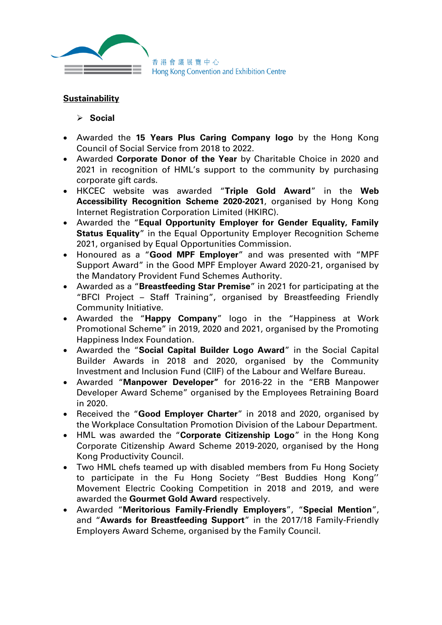

## **Sustainability**

#### ➢ **Social**

- Awarded the **15 Years Plus Caring Company logo** by the Hong Kong Council of Social Service from 2018 to 2022.
- Awarded **Corporate Donor of the Year** by Charitable Choice in 2020 and 2021 in recognition of HML's support to the community by purchasing corporate gift cards.
- HKCEC website was awarded "**Triple Gold Award**" in the **Web Accessibility Recognition Scheme 2020-2021**, organised by Hong Kong Internet Registration Corporation Limited (HKIRC).
- Awarded the "**Equal Opportunity Employer for Gender Equality, Family Status Equality**" in the Equal Opportunity Employer Recognition Scheme 2021, organised by Equal Opportunities Commission.
- Honoured as a "**Good MPF Employer**" and was presented with "MPF Support Award" in the Good MPF Employer Award 2020-21, organised by the Mandatory Provident Fund Schemes Authority.
- Awarded as a "**Breastfeeding Star Premise**" in 2021 for participating at the "BFCI Project – Staff Training", organised by Breastfeeding Friendly Community Initiative.
- Awarded the "**Happy Company**" logo in the "Happiness at Work Promotional Scheme" in 2019, 2020 and 2021, organised by the Promoting Happiness Index Foundation.
- Awarded the "**Social Capital Builder Logo Award**" in the Social Capital Builder Awards in 2018 and 2020, organised by the Community Investment and Inclusion Fund (CIIF) of the Labour and Welfare Bureau.
- Awarded "**Manpower Developer"** for 2016-22 in the "ERB Manpower Developer Award Scheme" organised by the Employees Retraining Board in 2020.
- Received the "**Good Employer Charter**" in 2018 and 2020, organised by the Workplace Consultation Promotion Division of the Labour Department.
- HML was awarded the "**Corporate Citizenship Logo**" in the Hong Kong Corporate Citizenship Award Scheme 2019-2020, organised by the Hong Kong Productivity Council.
- Two HML chefs teamed up with disabled members from Fu Hong Society to participate in the Fu Hong Society ''Best Buddies Hong Kong'' Movement Electric Cooking Competition in 2018 and 2019, and were awarded the **Gourmet Gold Award** respectively.
- Awarded "**Meritorious Family-Friendly Employers**", "**Special Mention**", and "**Awards for Breastfeeding Support**" in the 2017/18 Family-Friendly Employers Award Scheme, organised by the Family Council.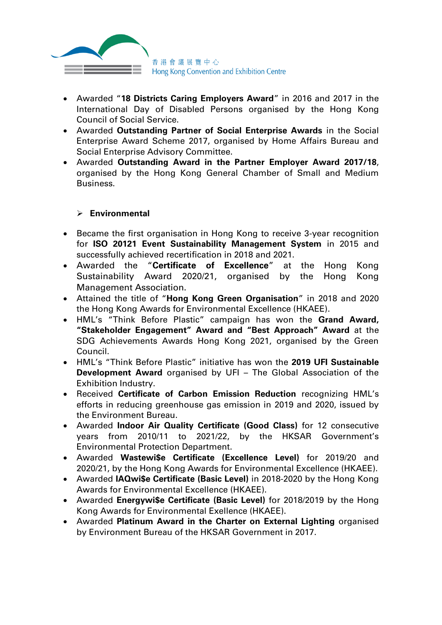

- Awarded "**18 Districts Caring Employers Award**" in 2016 and 2017 in the International Day of Disabled Persons organised by the Hong Kong Council of Social Service.
- Awarded **Outstanding Partner of Social Enterprise Awards** in the Social Enterprise Award Scheme 2017, organised by Home Affairs Bureau and Social Enterprise Advisory Committee.
- Awarded **Outstanding Award in the Partner Employer Award 2017/18**, organised by the Hong Kong General Chamber of Small and Medium Business.

### ➢ **Environmental**

- Became the first organisation in Hong Kong to receive 3-year recognition for **ISO 20121 Event Sustainability Management System** in 2015 and successfully achieved recertification in 2018 and 2021.
- Awarded the "**Certificate of Excellence**" at the Hong Kong Sustainability Award 2020/21, organised by the Hong Kong Management Association.
- Attained the title of "**Hong Kong Green Organisation**" in 2018 and 2020 the Hong Kong Awards for Environmental Excellence (HKAEE).
- HML's "Think Before Plastic" campaign has won the **Grand Award, "Stakeholder Engagement" Award and "Best Approach" Award** at the SDG Achievements Awards Hong Kong 2021, organised by the Green Council.
- HML's "Think Before Plastic" initiative has won the **2019 UFI Sustainable Development Award** organised by UFI – The Global Association of the Exhibition Industry.
- Received **Certificate of Carbon Emission Reduction** recognizing HML's efforts in reducing greenhouse gas emission in 2019 and 2020, issued by the Environment Bureau.
- Awarded **Indoor Air Quality Certificate (Good Class)** for 12 consecutive years from 2010/11 to 2021/22, by the HKSAR Government's Environmental Protection Department.
- Awarded **Wastewi\$e Certificate (Excellence Level)** for 2019/20 and 2020/21, by the Hong Kong Awards for Environmental Excellence (HKAEE).
- Awarded **IAQwi\$e Certificate (Basic Level)** in 2018-2020 by the Hong Kong Awards for Environmental Excellence (HKAEE).
- Awarded **Energywi\$e Certificate (Basic Level)** for 2018/2019 by the Hong Kong Awards for Environmental Exellence (HKAEE).
- Awarded **Platinum Award in the Charter on External Lighting** organised by Environment Bureau of the HKSAR Government in 2017.